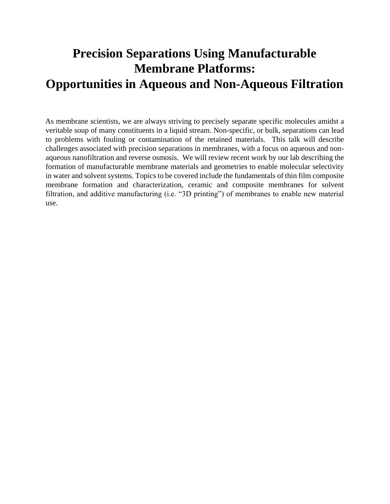## **Precision Separations Using Manufacturable Membrane Platforms: Opportunities in Aqueous and Non-Aqueous Filtration**

As membrane scientists, we are always striving to precisely separate specific molecules amidst a veritable soup of many constituents in a liquid stream. Non-specific, or bulk, separations can lead to problems with fouling or contamination of the retained materials. This talk will describe challenges associated with precision separations in membranes, with a focus on aqueous and nonaqueous nanofiltration and reverse osmosis. We will review recent work by our lab describing the formation of manufacturable membrane materials and geometries to enable molecular selectivity in water and solvent systems. Topics to be covered include the fundamentals of thin film composite membrane formation and characterization, ceramic and composite membranes for solvent filtration, and additive manufacturing (i.e. "3D printing") of membranes to enable new material use.